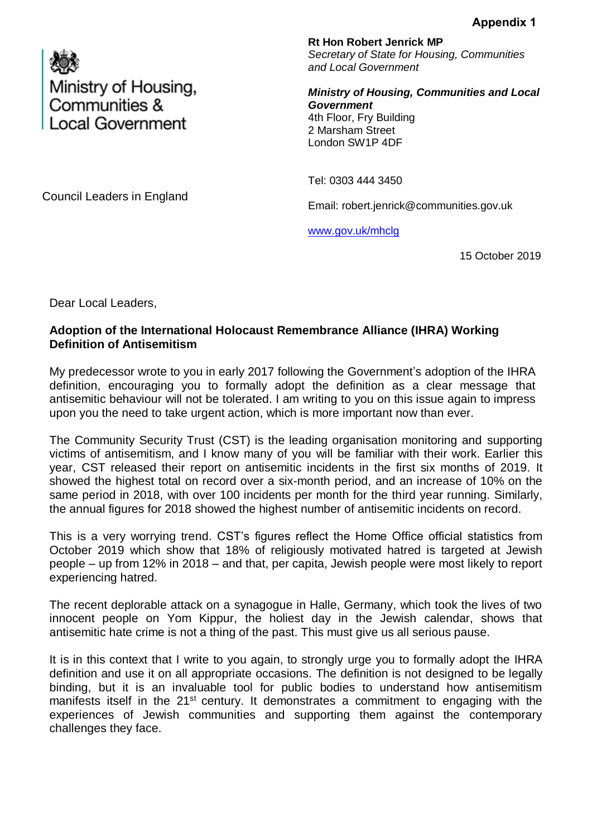

**Rt Hon Robert Jenrick MP** *Secretary of State for Housing, Communities and Local Government*

*Ministry of Housing, Communities and Local Government*  4th Floor, Fry Building 2 Marsham Street London SW1P 4DF

Tel: 0303 444 3450

Email: robert.jenrick@communities.gov.uk

[www.gov.uk/mhclg](http://www.gov.uk/mhclg)

15 October 2019

Dear Local Leaders,

## **Adoption of the International Holocaust Remembrance Alliance (IHRA) Working Definition of Antisemitism**

My predecessor wrote to you in early 2017 following the Government's adoption of the IHRA definition, encouraging you to formally adopt the definition as a clear message that antisemitic behaviour will not be tolerated. I am writing to you on this issue again to impress upon you the need to take urgent action, which is more important now than ever.

The Community Security Trust (CST) is the leading organisation monitoring and supporting victims of antisemitism, and I know many of you will be familiar with their work. Earlier this year, CST released their report on antisemitic incidents in the first six months of 2019. It showed the highest total on record over a six-month period, and an increase of 10% on the same period in 2018, with over 100 incidents per month for the third year running. Similarly, the annual figures for 2018 showed the highest number of antisemitic incidents on record.

This is a very worrying trend. CST's figures reflect the Home Office official statistics from October 2019 which show that 18% of religiously motivated hatred is targeted at Jewish people – up from 12% in 2018 – and that, per capita, Jewish people were most likely to report experiencing hatred.

The recent deplorable attack on a synagogue in Halle, Germany, which took the lives of two innocent people on Yom Kippur, the holiest day in the Jewish calendar, shows that antisemitic hate crime is not a thing of the past. This must give us all serious pause.

It is in this context that I write to you again, to strongly urge you to formally adopt the IHRA definition and use it on all appropriate occasions. The definition is not designed to be legally binding, but it is an invaluable tool for public bodies to understand how antisemitism manifests itself in the 21<sup>st</sup> century. It demonstrates a commitment to engaging with the experiences of Jewish communities and supporting them against the contemporary challenges they face.

Council Leaders in England